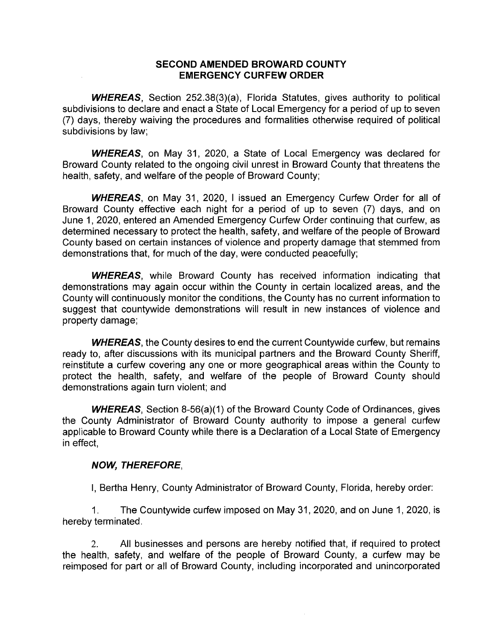## **SECOND AMENDED BROWARD COUNTY EMERGENCY CURFEW ORDER**

**WHEREAS,** Section 252.38(3)(a), Florida Statutes, gives authority to political subdivisions to declare and enact a State of Local Emergency for a period of up to seven (7) days, thereby waiving the procedures and formalities otherwise required of political subdivisions by law;

**WHEREAS,** on May 31, 2020, a State of Local Emergency was declared for Broward County related to the ongoing civil unrest in Broward County that threatens the health, safety, and welfare of the people of Broward County;

**WHEREAS,** on May 31, 2020, I issued an Emergency Curfew Order for all of Broward County effective each night for a period of up to seven (7) days, and on June 1, 2020, entered an Amended Emergency Curfew Order continuing that curfew, as determined necessary to protect the health, safety, and welfare of the people of Broward County based on certain instances of violence and property damage that stemmed from demonstrations that, for much of the day, were conducted peacefully;

**WHEREAS,** while Broward County has received information indicating that demonstrations may again occur within the County in certain localized areas, and the County will continuously monitor the conditions, the County has no current information to suggest that countywide demonstrations will result in new instances of violence and property damage;

**WHEREAS,** the County desires to end the current Countywide curfew, but remains ready to, after discussions with its municipal partners and the Broward County Sheriff, reinstitute a curfew covering anyone or more geographical areas within the County to protect the health, safety, and welfare of the people of Broward County should demonstrations again turn violent; and

**WHEREAS,** Section 8-56(a)(1) of the Broward County Code of Ordinances, gives the County Administrator of Broward County authority to impose a general curfew applicable to Broward County while there is a Declaration of a Local State of Emergency in effect,

## **NOW, THEREFORE,**

I, Bertha Henry, County Administrator of Broward County, Florida, hereby order:

1. The Countywide curfew imposed on May 31,2020, and on June 1,2020, is hereby terminated.

2. All businesses and persons are hereby notified that, if required to protect the health, safety, and welfare of the people of Broward County, a curfew may be reimposed for part or all of Broward County, including incorporated and unincorporated